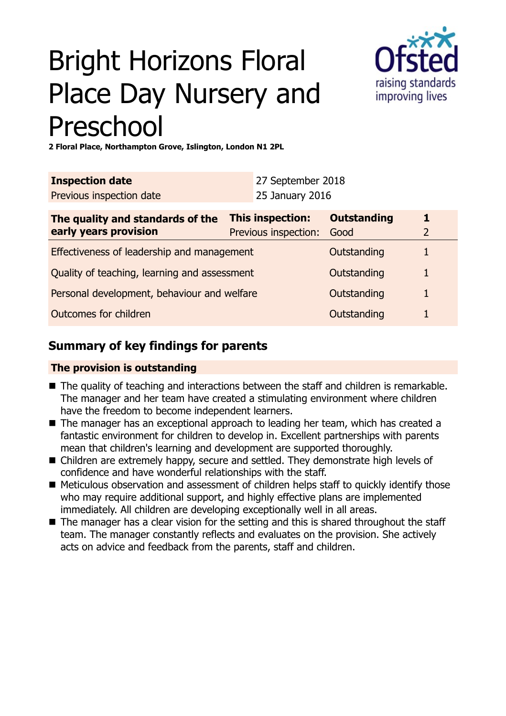# Bright Horizons Floral Place Day Nursery and Preschool



**2 Floral Place, Northampton Grove, Islington, London N1 2PL**

| <b>Inspection date</b>                                    |                                          | 27 September 2018 |                            |                     |
|-----------------------------------------------------------|------------------------------------------|-------------------|----------------------------|---------------------|
| Previous inspection date                                  |                                          | 25 January 2016   |                            |                     |
| The quality and standards of the<br>early years provision | This inspection:<br>Previous inspection: |                   | <b>Outstanding</b><br>Good | 1<br>$\overline{2}$ |
| Effectiveness of leadership and management                |                                          |                   | Outstanding                |                     |
| Quality of teaching, learning and assessment              |                                          |                   | Outstanding                |                     |
| Personal development, behaviour and welfare               |                                          |                   | Outstanding                |                     |
| Outcomes for children                                     |                                          |                   | Outstanding                |                     |

# **Summary of key findings for parents**

## **The provision is outstanding**

- The quality of teaching and interactions between the staff and children is remarkable. The manager and her team have created a stimulating environment where children have the freedom to become independent learners.
- The manager has an exceptional approach to leading her team, which has created a fantastic environment for children to develop in. Excellent partnerships with parents mean that children's learning and development are supported thoroughly.
- Children are extremely happy, secure and settled. They demonstrate high levels of confidence and have wonderful relationships with the staff.
- Meticulous observation and assessment of children helps staff to quickly identify those who may require additional support, and highly effective plans are implemented immediately. All children are developing exceptionally well in all areas.
- $\blacksquare$  The manager has a clear vision for the setting and this is shared throughout the staff team. The manager constantly reflects and evaluates on the provision. She actively acts on advice and feedback from the parents, staff and children.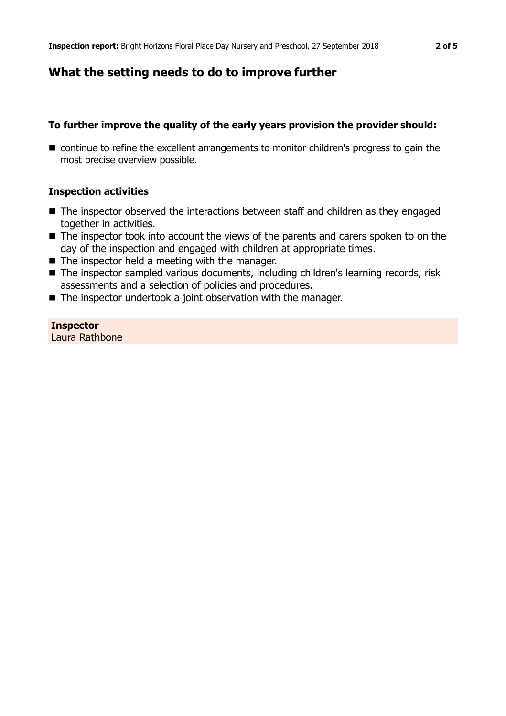# **What the setting needs to do to improve further**

## **To further improve the quality of the early years provision the provider should:**

■ continue to refine the excellent arrangements to monitor children's progress to gain the most precise overview possible.

## **Inspection activities**

- $\blacksquare$  The inspector observed the interactions between staff and children as they engaged together in activities.
- $\blacksquare$  The inspector took into account the views of the parents and carers spoken to on the day of the inspection and engaged with children at appropriate times.
- $\blacksquare$  The inspector held a meeting with the manager.
- The inspector sampled various documents, including children's learning records, risk assessments and a selection of policies and procedures.
- $\blacksquare$  The inspector undertook a joint observation with the manager.

#### **Inspector** Laura Rathbone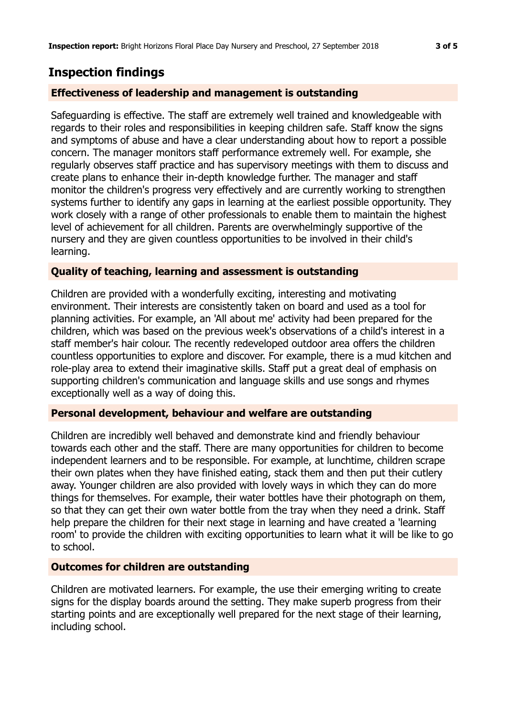## **Inspection findings**

### **Effectiveness of leadership and management is outstanding**

Safeguarding is effective. The staff are extremely well trained and knowledgeable with regards to their roles and responsibilities in keeping children safe. Staff know the signs and symptoms of abuse and have a clear understanding about how to report a possible concern. The manager monitors staff performance extremely well. For example, she regularly observes staff practice and has supervisory meetings with them to discuss and create plans to enhance their in-depth knowledge further. The manager and staff monitor the children's progress very effectively and are currently working to strengthen systems further to identify any gaps in learning at the earliest possible opportunity. They work closely with a range of other professionals to enable them to maintain the highest level of achievement for all children. Parents are overwhelmingly supportive of the nursery and they are given countless opportunities to be involved in their child's learning.

#### **Quality of teaching, learning and assessment is outstanding**

Children are provided with a wonderfully exciting, interesting and motivating environment. Their interests are consistently taken on board and used as a tool for planning activities. For example, an 'All about me' activity had been prepared for the children, which was based on the previous week's observations of a child's interest in a staff member's hair colour. The recently redeveloped outdoor area offers the children countless opportunities to explore and discover. For example, there is a mud kitchen and role-play area to extend their imaginative skills. Staff put a great deal of emphasis on supporting children's communication and language skills and use songs and rhymes exceptionally well as a way of doing this.

#### **Personal development, behaviour and welfare are outstanding**

Children are incredibly well behaved and demonstrate kind and friendly behaviour towards each other and the staff. There are many opportunities for children to become independent learners and to be responsible. For example, at lunchtime, children scrape their own plates when they have finished eating, stack them and then put their cutlery away. Younger children are also provided with lovely ways in which they can do more things for themselves. For example, their water bottles have their photograph on them, so that they can get their own water bottle from the tray when they need a drink. Staff help prepare the children for their next stage in learning and have created a 'learning room' to provide the children with exciting opportunities to learn what it will be like to go to school.

#### **Outcomes for children are outstanding**

Children are motivated learners. For example, the use their emerging writing to create signs for the display boards around the setting. They make superb progress from their starting points and are exceptionally well prepared for the next stage of their learning, including school.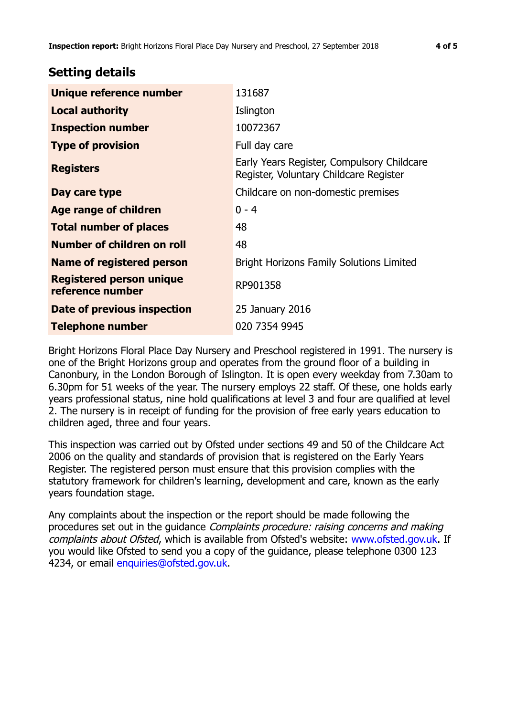## **Setting details**

| Unique reference number                             | 131687                                                                               |  |
|-----------------------------------------------------|--------------------------------------------------------------------------------------|--|
| <b>Local authority</b>                              | Islington                                                                            |  |
| <b>Inspection number</b>                            | 10072367                                                                             |  |
| <b>Type of provision</b>                            | Full day care                                                                        |  |
| <b>Registers</b>                                    | Early Years Register, Compulsory Childcare<br>Register, Voluntary Childcare Register |  |
| Day care type                                       | Childcare on non-domestic premises                                                   |  |
| <b>Age range of children</b>                        | $0 - 4$                                                                              |  |
| <b>Total number of places</b>                       | 48                                                                                   |  |
| Number of children on roll                          | 48                                                                                   |  |
| Name of registered person                           | <b>Bright Horizons Family Solutions Limited</b>                                      |  |
| <b>Registered person unique</b><br>reference number | RP901358                                                                             |  |
| Date of previous inspection                         | 25 January 2016                                                                      |  |
| <b>Telephone number</b>                             | 020 7354 9945                                                                        |  |

Bright Horizons Floral Place Day Nursery and Preschool registered in 1991. The nursery is one of the Bright Horizons group and operates from the ground floor of a building in Canonbury, in the London Borough of Islington. It is open every weekday from 7.30am to 6.30pm for 51 weeks of the year. The nursery employs 22 staff. Of these, one holds early years professional status, nine hold qualifications at level 3 and four are qualified at level 2. The nursery is in receipt of funding for the provision of free early years education to children aged, three and four years.

This inspection was carried out by Ofsted under sections 49 and 50 of the Childcare Act 2006 on the quality and standards of provision that is registered on the Early Years Register. The registered person must ensure that this provision complies with the statutory framework for children's learning, development and care, known as the early years foundation stage.

Any complaints about the inspection or the report should be made following the procedures set out in the guidance Complaints procedure: raising concerns and making complaints about Ofsted, which is available from Ofsted's website: www.ofsted.gov.uk. If you would like Ofsted to send you a copy of the guidance, please telephone 0300 123 4234, or email [enquiries@ofsted.gov.uk.](mailto:enquiries@ofsted.gov.uk)